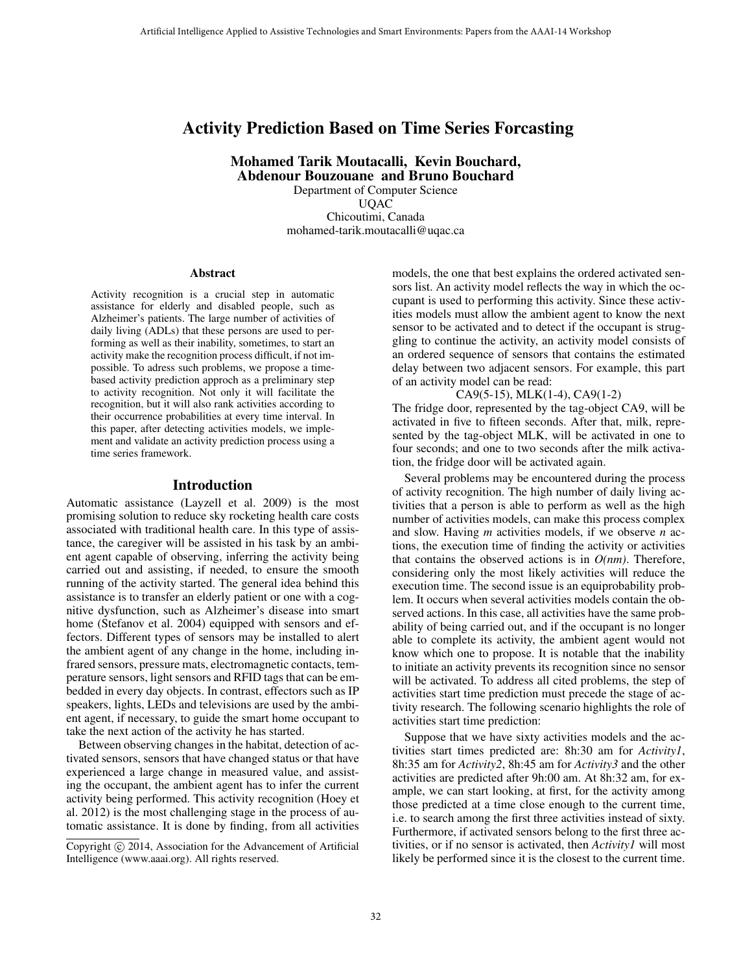# Activity Prediction Based on Time Series Forcasting

Mohamed Tarik Moutacalli, Kevin Bouchard, Abdenour Bouzouane and Bruno Bouchard

Department of Computer Science UQAC Chicoutimi, Canada mohamed-tarik.moutacalli@uqac.ca

#### Abstract

Activity recognition is a crucial step in automatic assistance for elderly and disabled people, such as Alzheimer's patients. The large number of activities of daily living (ADLs) that these persons are used to performing as well as their inability, sometimes, to start an activity make the recognition process difficult, if not impossible. To adress such problems, we propose a timebased activity prediction approch as a preliminary step to activity recognition. Not only it will facilitate the recognition, but it will also rank activities according to their occurrence probabilities at every time interval. In this paper, after detecting activities models, we implement and validate an activity prediction process using a time series framework.

### Introduction

Automatic assistance (Layzell et al. 2009) is the most promising solution to reduce sky rocketing health care costs associated with traditional health care. In this type of assistance, the caregiver will be assisted in his task by an ambient agent capable of observing, inferring the activity being carried out and assisting, if needed, to ensure the smooth running of the activity started. The general idea behind this assistance is to transfer an elderly patient or one with a cognitive dysfunction, such as Alzheimer's disease into smart home (Stefanov et al. 2004) equipped with sensors and effectors. Different types of sensors may be installed to alert the ambient agent of any change in the home, including infrared sensors, pressure mats, electromagnetic contacts, temperature sensors, light sensors and RFID tags that can be embedded in every day objects. In contrast, effectors such as IP speakers, lights, LEDs and televisions are used by the ambient agent, if necessary, to guide the smart home occupant to take the next action of the activity he has started.

Between observing changes in the habitat, detection of activated sensors, sensors that have changed status or that have experienced a large change in measured value, and assisting the occupant, the ambient agent has to infer the current activity being performed. This activity recognition (Hoey et al. 2012) is the most challenging stage in the process of automatic assistance. It is done by finding, from all activities models, the one that best explains the ordered activated sensors list. An activity model reflects the way in which the occupant is used to performing this activity. Since these activities models must allow the ambient agent to know the next sensor to be activated and to detect if the occupant is struggling to continue the activity, an activity model consists of an ordered sequence of sensors that contains the estimated delay between two adjacent sensors. For example, this part of an activity model can be read:

#### CA9(5-15), MLK(1-4), CA9(1-2)

The fridge door, represented by the tag-object CA9, will be activated in five to fifteen seconds. After that, milk, represented by the tag-object MLK, will be activated in one to four seconds; and one to two seconds after the milk activation, the fridge door will be activated again.

Several problems may be encountered during the process of activity recognition. The high number of daily living activities that a person is able to perform as well as the high number of activities models, can make this process complex and slow. Having *m* activities models, if we observe *n* actions, the execution time of finding the activity or activities that contains the observed actions is in  $O(nm)$ . Therefore, considering only the most likely activities will reduce the execution time. The second issue is an equiprobability problem. It occurs when several activities models contain the observed actions. In this case, all activities have the same probability of being carried out, and if the occupant is no longer able to complete its activity, the ambient agent would not know which one to propose. It is notable that the inability to initiate an activity prevents its recognition since no sensor will be activated. To address all cited problems, the step of activities start time prediction must precede the stage of activity research. The following scenario highlights the role of activities start time prediction:

Suppose that we have sixty activities models and the activities start times predicted are: 8h:30 am for *Activity1*, 8h:35 am for *Activity2*, 8h:45 am for *Activity3* and the other activities are predicted after 9h:00 am. At 8h:32 am, for example, we can start looking, at first, for the activity among those predicted at a time close enough to the current time, i.e. to search among the first three activities instead of sixty. Furthermore, if activated sensors belong to the first three activities, or if no sensor is activated, then *Activity1* will most likely be performed since it is the closest to the current time.

Copyright (c) 2014, Association for the Advancement of Artificial Intelligence (www.aaai.org). All rights reserved.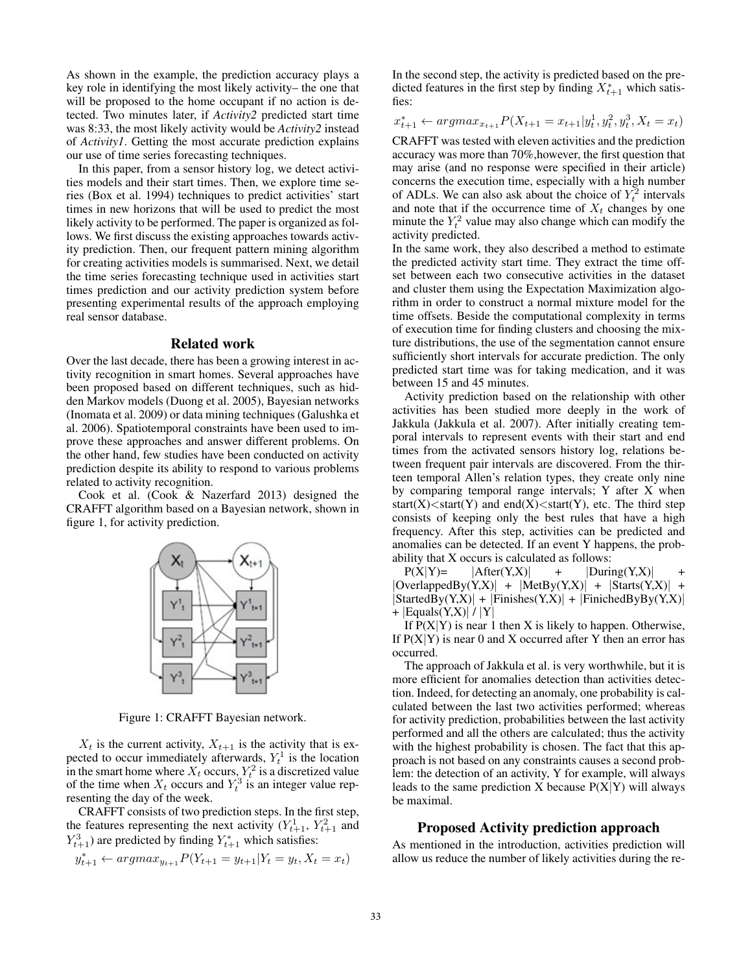As shown in the example, the prediction accuracy plays a key role in identifying the most likely activity– the one that will be proposed to the home occupant if no action is detected. Two minutes later, if *Activity2* predicted start time was 8:33, the most likely activity would be *Activity2* instead of *Activity1*. Getting the most accurate prediction explains our use of time series forecasting techniques.

In this paper, from a sensor history log, we detect activities models and their start times. Then, we explore time series (Box et al. 1994) techniques to predict activities' start times in new horizons that will be used to predict the most likely activity to be performed. The paper is organized as follows. We first discuss the existing approaches towards activity prediction. Then, our frequent pattern mining algorithm for creating activities models is summarised. Next, we detail the time series forecasting technique used in activities start times prediction and our activity prediction system before presenting experimental results of the approach employing real sensor database.

## Related work

Over the last decade, there has been a growing interest in activity recognition in smart homes. Several approaches have been proposed based on different techniques, such as hidden Markov models (Duong et al. 2005), Bayesian networks (Inomata et al. 2009) or data mining techniques (Galushka et al. 2006). Spatiotemporal constraints have been used to improve these approaches and answer different problems. On the other hand, few studies have been conducted on activity prediction despite its ability to respond to various problems related to activity recognition.

Cook et al. (Cook & Nazerfard 2013) designed the CRAFFT algorithm based on a Bayesian network, shown in figure 1, for activity prediction.



Figure 1: CRAFFT Bayesian network.

 $X_t$  is the current activity,  $X_{t+1}$  is the activity that is expected to occur immediately afterwards,  $Y_t^1$  is the location in the smart home where  $X_t$  occurs,  $Y_t^2$  is a discretized value of the time when  $X_t$  occurs and  $Y_t^3$  is an integer value representing the day of the week.

CRAFFT consists of two prediction steps. In the first step, the features representing the next activity  $(Y_{t+1}^1, Y_{t+1}^2, )$  and  $Y_{t+1}^3$ ) are predicted by finding  $Y_{t+1}^*$  which satisfies:

$$
y_{t+1}^* \leftarrow argmax_{y_{t+1}} P(Y_{t+1} = y_{t+1} | Y_t = y_t, X_t = x_t)
$$

In the second step, the activity is predicted based on the predicted features in the first step by finding  $X_{t+1}^*$  which satisfies:

$$
x_{t+1}^* \leftarrow argmax_{x_{t+1}} P(X_{t+1} = x_{t+1} | y_t^1, y_t^2, y_t^3, X_t = x_t)
$$

CRAFFT was tested with eleven activities and the prediction accuracy was more than 70%,however, the first question that may arise (and no response were specified in their article) concerns the execution time, especially with a high number of ADLs. We can also ask about the choice of  $Y_t^2$  intervals and note that if the occurrence time of  $X_t$  changes by one minute the  $Y_t^2$  value may also change which can modify the activity predicted.

In the same work, they also described a method to estimate the predicted activity start time. They extract the time offset between each two consecutive activities in the dataset and cluster them using the Expectation Maximization algorithm in order to construct a normal mixture model for the time offsets. Beside the computational complexity in terms of execution time for finding clusters and choosing the mixture distributions, the use of the segmentation cannot ensure sufficiently short intervals for accurate prediction. The only predicted start time was for taking medication, and it was between 15 and 45 minutes.

Activity prediction based on the relationship with other activities has been studied more deeply in the work of Jakkula (Jakkula et al. 2007). After initially creating temporal intervals to represent events with their start and end times from the activated sensors history log, relations between frequent pair intervals are discovered. From the thirteen temporal Allen's relation types, they create only nine by comparing temporal range intervals; Y after X when start(X) $\lt$ start(Y) and end(X) $\lt$ start(Y), etc. The third step consists of keeping only the best rules that have a high frequency. After this step, activities can be predicted and anomalies can be detected. If an event Y happens, the probability that X occurs is calculated as follows:

 $P(X|Y) = |After(Y, X)| + |During(Y, X)| +$  $|OverlappedBy(Y, X)| + |MetBy(Y, X)| + |Starts(Y, X)| + |$  $|\text{StartedBy}(Y,X)| + |\text{Finishes}(Y,X)| + |\text{FinichedByBy}(Y,X)|$  $+$  |Equals(Y,X)| / |Y|

If  $P(X|Y)$  is near 1 then X is likely to happen. Otherwise, If  $P(X|Y)$  is near 0 and X occurred after Y then an error has occurred.

The approach of Jakkula et al. is very worthwhile, but it is more efficient for anomalies detection than activities detection. Indeed, for detecting an anomaly, one probability is calculated between the last two activities performed; whereas for activity prediction, probabilities between the last activity performed and all the others are calculated; thus the activity with the highest probability is chosen. The fact that this approach is not based on any constraints causes a second problem: the detection of an activity, Y for example, will always leads to the same prediction X because  $P(X|Y)$  will always be maximal.

## Proposed Activity prediction approach

As mentioned in the introduction, activities prediction will allow us reduce the number of likely activities during the re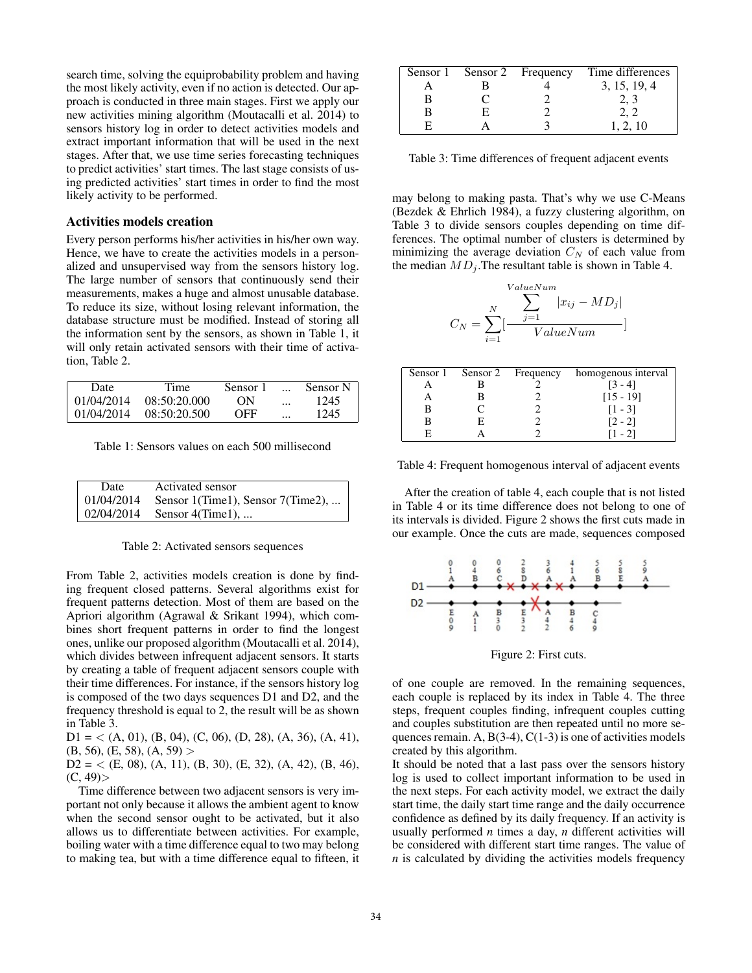search time, solving the equiprobability problem and having the most likely activity, even if no action is detected. Our approach is conducted in three main stages. First we apply our new activities mining algorithm (Moutacalli et al. 2014) to sensors history log in order to detect activities models and extract important information that will be used in the next stages. After that, we use time series forecasting techniques to predict activities' start times. The last stage consists of using predicted activities' start times in order to find the most likely activity to be performed.

## Activities models creation

Every person performs his/her activities in his/her own way. Hence, we have to create the activities models in a personalized and unsupervised way from the sensors history log. The large number of sensors that continuously send their measurements, makes a huge and almost unusable database. To reduce its size, without losing relevant information, the database structure must be modified. Instead of storing all the information sent by the sensors, as shown in Table 1, it will only retain activated sensors with their time of activation, Table 2.

| Date.      | Time         | Sensor | $\cdots$ | Sensor N |
|------------|--------------|--------|----------|----------|
| 01/04/2014 | 08:50:20.000 | ON     | $\cdots$ | 1245     |
| 01/04/2014 | 08:50:20.500 | OFF    | $\cdots$ | 1245     |

Table 1: Sensors values on each 500 millisecond

| Date       | Activated sensor                  |
|------------|-----------------------------------|
| 01/04/2014 | Sensor 1(Time1), Sensor 7(Time2), |
| 02/04/2014 | Sensor $4$ (Time1),               |

#### Table 2: Activated sensors sequences

From Table 2, activities models creation is done by finding frequent closed patterns. Several algorithms exist for frequent patterns detection. Most of them are based on the Apriori algorithm (Agrawal & Srikant 1994), which combines short frequent patterns in order to find the longest ones, unlike our proposed algorithm (Moutacalli et al. 2014), which divides between infrequent adjacent sensors. It starts by creating a table of frequent adjacent sensors couple with their time differences. For instance, if the sensors history log is composed of the two days sequences D1 and D2, and the frequency threshold is equal to 2, the result will be as shown in Table 3.

 $D1 = \langle (A, 01), (B, 04), (C, 06), (D, 28), (A, 36), (A, 41),$  $(B, 56), (E, 58), (A, 59)$ 

 $D2 = \langle (E, 08), (A, 11), (B, 30), (E, 32), (A, 42), (B, 46), \rangle$  $(C, 49)$ 

Time difference between two adjacent sensors is very important not only because it allows the ambient agent to know when the second sensor ought to be activated, but it also allows us to differentiate between activities. For example, boiling water with a time difference equal to two may belong to making tea, but with a time difference equal to fifteen, it

|  | Sensor 1 Sensor 2 Frequency | Time differences |
|--|-----------------------------|------------------|
|  |                             | 3, 15, 19, 4     |
|  |                             | 2, 3             |
|  |                             |                  |
|  |                             |                  |

Table 3: Time differences of frequent adjacent events

may belong to making pasta. That's why we use C-Means (Bezdek & Ehrlich 1984), a fuzzy clustering algorithm, on Table 3 to divide sensors couples depending on time differences. The optimal number of clusters is determined by minimizing the average deviation  $C_N$  of each value from the median  $MD_i$ . The resultant table is shown in Table 4.

$$
C_N = \sum_{i=1}^{N} \left[\frac{\sum_{j=1}^{ValueNum} |x_{ij} - MD_j|}{ValueNum}\right]
$$

|   | Sensor 1 Sensor 2 Frequency | homogenous interval |
|---|-----------------------------|---------------------|
|   |                             |                     |
|   |                             | $[15 - 19]$         |
|   |                             | $[1 - 3]$           |
| в |                             | $[2 - 2]$           |
|   |                             |                     |

Table 4: Frequent homogenous interval of adjacent events

After the creation of table 4, each couple that is not listed in Table 4 or its time difference does not belong to one of its intervals is divided. Figure 2 shows the first cuts made in our example. Once the cuts are made, sequences composed



Figure 2: First cuts.

of one couple are removed. In the remaining sequences, each couple is replaced by its index in Table 4. The three steps, frequent couples finding, infrequent couples cutting and couples substitution are then repeated until no more sequences remain. A,  $B(3-4)$ ,  $C(1-3)$  is one of activities models created by this algorithm.

It should be noted that a last pass over the sensors history log is used to collect important information to be used in the next steps. For each activity model, we extract the daily start time, the daily start time range and the daily occurrence confidence as defined by its daily frequency. If an activity is usually performed *n* times a day, *n* different activities will be considered with different start time ranges. The value of *n* is calculated by dividing the activities models frequency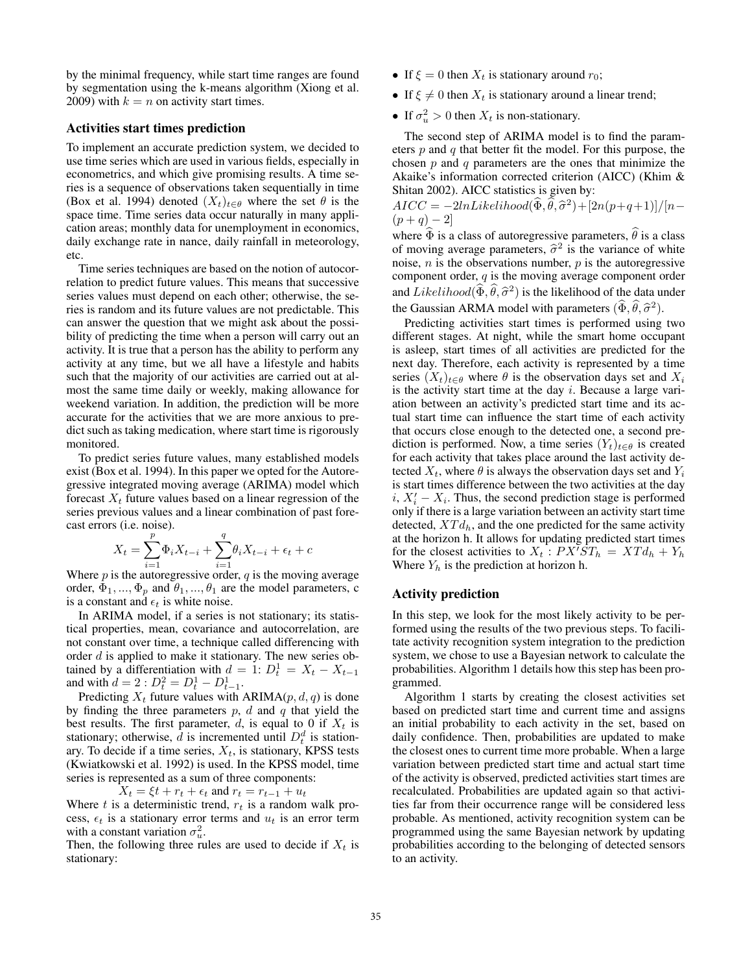by the minimal frequency, while start time ranges are found by segmentation using the k-means algorithm (Xiong et al. 2009) with  $k = n$  on activity start times.

### Activities start times prediction

To implement an accurate prediction system, we decided to use time series which are used in various fields, especially in econometrics, and which give promising results. A time series is a sequence of observations taken sequentially in time (Box et al. 1994) denoted  $(X_t)_{t \in \theta}$  where the set  $\theta$  is the space time. Time series data occur naturally in many application areas; monthly data for unemployment in economics, daily exchange rate in nance, daily rainfall in meteorology, etc.

Time series techniques are based on the notion of autocorrelation to predict future values. This means that successive series values must depend on each other; otherwise, the series is random and its future values are not predictable. This can answer the question that we might ask about the possibility of predicting the time when a person will carry out an activity. It is true that a person has the ability to perform any activity at any time, but we all have a lifestyle and habits such that the majority of our activities are carried out at almost the same time daily or weekly, making allowance for weekend variation. In addition, the prediction will be more accurate for the activities that we are more anxious to predict such as taking medication, where start time is rigorously monitored.

To predict series future values, many established models exist (Box et al. 1994). In this paper we opted for the Autoregressive integrated moving average (ARIMA) model which forecast  $X_t$  future values based on a linear regression of the series previous values and a linear combination of past forecast errors (i.e. noise).

$$
X_{t} = \sum_{i=1}^{p} \Phi_{i} X_{t-i} + \sum_{i=1}^{q} \theta_{i} X_{t-i} + \epsilon_{t} + c
$$

Where p is the autoregressive order, q is the moving average order,  $\Phi_1, ..., \Phi_p$  and  $\theta_1, ..., \theta_1$  are the model parameters, c is a constant and  $\epsilon_t$  is white noise.

In ARIMA model, if a series is not stationary; its statistical properties, mean, covariance and autocorrelation, are not constant over time, a technique called differencing with order  $d$  is applied to make it stationary. The new series obtained by a differentiation with  $d = 1: D_t^1 = X_t - X_{t-1}$ and with  $d = 2 : D_t^2 = D_t^1 - D_{t-1}^1$ .

Predicting  $X_t$  future values with ARIMA( $p, d, q$ ) is done by finding the three parameters  $p$ ,  $d$  and  $q$  that yield the best results. The first parameter,  $d$ , is equal to 0 if  $X_t$  is stationary; otherwise,  $\tilde{d}$  is incremented until  $D_t^d$  is stationary. To decide if a time series,  $X_t$ , is stationary, KPSS tests (Kwiatkowski et al. 1992) is used. In the KPSS model, time series is represented as a sum of three components:

 $X_t = \xi t + r_t + \epsilon_t$  and  $r_t = r_{t-1} + u_t$ 

Where  $t$  is a deterministic trend,  $r_t$  is a random walk process,  $\epsilon_t$  is a stationary error terms and  $u_t$  is an error term with a constant variation  $\sigma_u^2$ .

Then, the following three rules are used to decide if  $X_t$  is stationary:

- If  $\xi = 0$  then  $X_t$  is stationary around  $r_0$ ;
- If  $\xi \neq 0$  then  $X_t$  is stationary around a linear trend;
- If  $\sigma_u^2 > 0$  then  $X_t$  is non-stationary.

The second step of ARIMA model is to find the parameters  $p$  and  $q$  that better fit the model. For this purpose, the chosen  $p$  and  $q$  parameters are the ones that minimize the Akaike's information corrected criterion (AICC) (Khim & Shitan 2002). AICC statistics is given by:

 $AICC = -2lnLikelihood(\widehat{\Phi}, \widehat{\theta}, \widehat{\sigma}^2) + [2n(p+q+1)]/[n-q]$  $(p+q) - 2$ ]

where  $\widehat{\Phi}$  is a class of autoregressive parameters,  $\widehat{\theta}$  is a class of moving average parameters,  $\hat{\sigma}^2$  is the variance of white<br>noise *n* is the observations number *n* is the autoreoressive noise,  $n$  is the observations number,  $p$  is the autoregressive component order, q is the moving average component order and *Likelihood* $(\widehat{\Phi}, \widehat{\theta}, \widehat{\sigma}^2)$  is the likelihood of the data under<br>the Caussian ADMA model with negatives  $(\widehat{\Phi}, \widehat{\theta}, \widehat{\sigma}^2)$ the Gaussian ARMA model with parameters  $(\widehat{\Phi}, \widehat{\theta}, \widehat{\sigma}^2)$ .<br>Predicting activities start times is performed using

Predicting activities start times is performed using two different stages. At night, while the smart home occupant is asleep, start times of all activities are predicted for the next day. Therefore, each activity is represented by a time series  $(X_t)_{t \in \theta}$  where  $\theta$  is the observation days set and  $X_i$ is the activity start time at the day  $i$ . Because a large variation between an activity's predicted start time and its actual start time can influence the start time of each activity that occurs close enough to the detected one, a second prediction is performed. Now, a time series  $(Y_t)_{t \in \theta}$  is created for each activity that takes place around the last activity detected  $X_t$ , where  $\theta$  is always the observation days set and  $Y_i$ is start times difference between the two activities at the day i,  $X_i' - X_i$ . Thus, the second prediction stage is performed only if there is a large variation between an activity start time detected,  $XTd<sub>h</sub>$ , and the one predicted for the same activity at the horizon h. It allows for updating predicted start times for the closest activities to  $X_t$ :  $PX'ST_h = XT d_h + Y_h$ Where  $Y_h$  is the prediction at horizon h.

## Activity prediction

In this step, we look for the most likely activity to be performed using the results of the two previous steps. To facilitate activity recognition system integration to the prediction system, we chose to use a Bayesian network to calculate the probabilities. Algorithm 1 details how this step has been programmed.

Algorithm 1 starts by creating the closest activities set based on predicted start time and current time and assigns an initial probability to each activity in the set, based on daily confidence. Then, probabilities are updated to make the closest ones to current time more probable. When a large variation between predicted start time and actual start time of the activity is observed, predicted activities start times are recalculated. Probabilities are updated again so that activities far from their occurrence range will be considered less probable. As mentioned, activity recognition system can be programmed using the same Bayesian network by updating probabilities according to the belonging of detected sensors to an activity.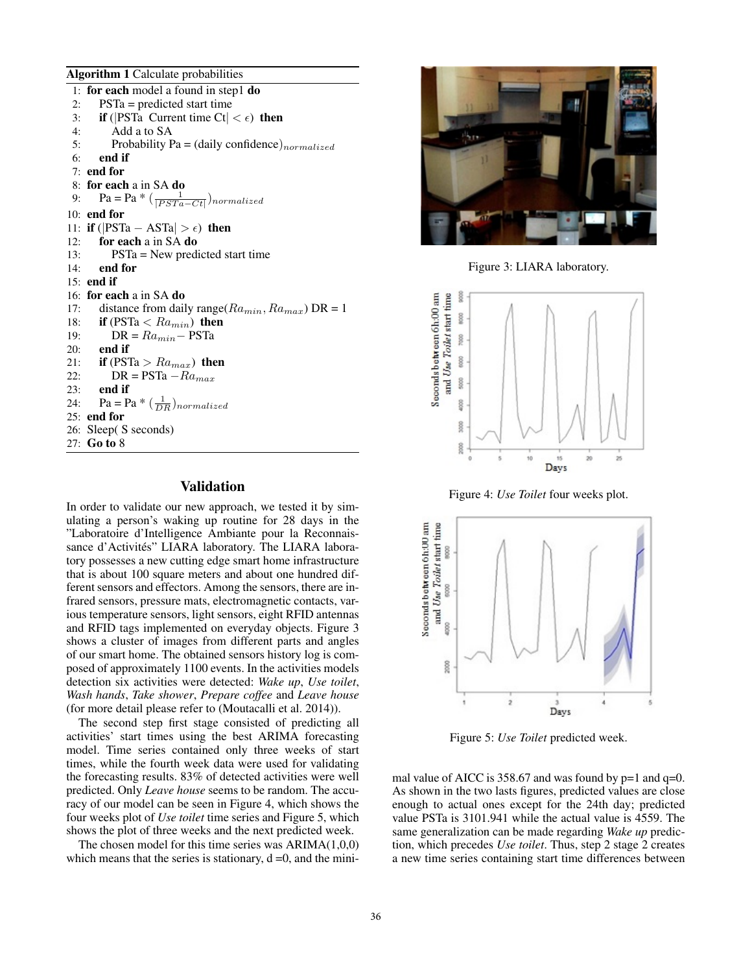Algorithm 1 Calculate probabilities

|    | 1: for each model a found in step1 $do$                           |
|----|-------------------------------------------------------------------|
| 2: | $PSTa = predicted start time$                                     |
|    | 3: <b>if</b> ([PSTa Current time Ct] $\lt \epsilon$ ) <b>then</b> |
|    | Add a to SA<br>4:                                                 |
|    | Probability Pa = $(daily confidence)_{normalized}$<br>5:          |
|    | $6:$ end if                                                       |
|    | $7:$ end for                                                      |
|    | 8: <b>for each</b> a in SA do                                     |
|    | 9: Pa = Pa * $\left(\frac{1}{ PSTa - Ct }\right)$ normalized      |
|    | $10:$ end for                                                     |
|    | 11: if ( $ PSTa - ASTa  > \epsilon$ ) then                        |
|    | 12: for each a in SA do                                           |
|    | 13:<br>$PSTa = New predicted start time$                          |
|    | $14:$ end for                                                     |
|    | $15:$ end if                                                      |
|    | 16: for each a in SA do                                           |
|    | 17: distance from daily range( $Ra_{min}$ , $Ra_{max}$ ) DR = 1   |
|    | 18: <b>if</b> (PSTa $< Ra_{min}$ ) <b>then</b>                    |
|    | $DR = Ra_{min} - PSTa$<br>19:                                     |
|    | $20:$ end if                                                      |
|    | 21: if (PSTa > $Ra_{max}$ ) then                                  |
|    | 22:<br>$DR = PSTa - Ra_{max}$                                     |
|    | $23:$ end if                                                      |
|    | 24: Pa = Pa * $(\frac{1}{DR})$ normalized                         |
|    | 25: end for                                                       |
|    | 26: Sleep(S seconds)                                              |
|    | 27: <b>Go to</b> 8                                                |

# Validation

In order to validate our new approach, we tested it by simulating a person's waking up routine for 28 days in the "Laboratoire d'Intelligence Ambiante pour la Reconnaissance d'Activités" LIARA laboratory. The LIARA laboratory possesses a new cutting edge smart home infrastructure that is about 100 square meters and about one hundred different sensors and effectors. Among the sensors, there are infrared sensors, pressure mats, electromagnetic contacts, various temperature sensors, light sensors, eight RFID antennas and RFID tags implemented on everyday objects. Figure 3 shows a cluster of images from different parts and angles of our smart home. The obtained sensors history log is composed of approximately 1100 events. In the activities models detection six activities were detected: *Wake up*, *Use toilet*, *Wash hands*, *Take shower*, *Prepare coffee* and *Leave house* (for more detail please refer to (Moutacalli et al. 2014)).

The second step first stage consisted of predicting all activities' start times using the best ARIMA forecasting model. Time series contained only three weeks of start times, while the fourth week data were used for validating the forecasting results. 83% of detected activities were well predicted. Only *Leave house* seems to be random. The accuracy of our model can be seen in Figure 4, which shows the four weeks plot of *Use toilet* time series and Figure 5, which shows the plot of three weeks and the next predicted week.

The chosen model for this time series was ARIMA(1,0,0) which means that the series is stationary,  $d = 0$ , and the mini-



Figure 3: LIARA laboratory.



Figure 4: *Use Toilet* four weeks plot.



Figure 5: *Use Toilet* predicted week.

mal value of AICC is 358.67 and was found by  $p=1$  and  $q=0$ . As shown in the two lasts figures, predicted values are close enough to actual ones except for the 24th day; predicted value PSTa is 3101.941 while the actual value is 4559. The same generalization can be made regarding *Wake up* prediction, which precedes *Use toilet*. Thus, step 2 stage 2 creates a new time series containing start time differences between